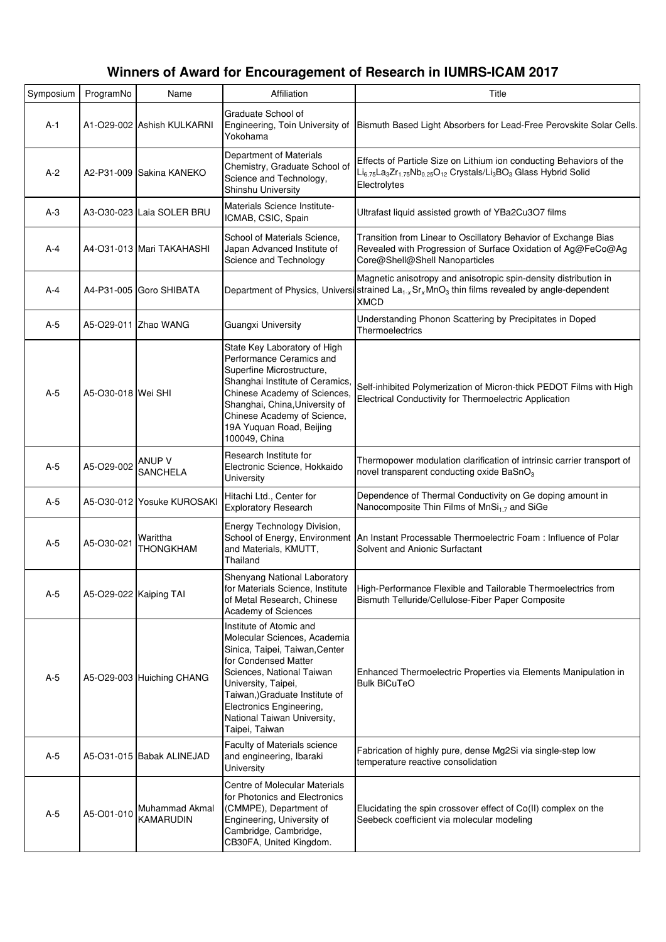| Symposium | ProgramNo              | Name                               | Affiliation                                                                                                                                                                                                                                                                          | Title                                                                                                                                                                                                                                       |
|-----------|------------------------|------------------------------------|--------------------------------------------------------------------------------------------------------------------------------------------------------------------------------------------------------------------------------------------------------------------------------------|---------------------------------------------------------------------------------------------------------------------------------------------------------------------------------------------------------------------------------------------|
| $A-1$     |                        | A1-O29-002 Ashish KULKARNI         | Graduate School of<br>Engineering, Toin University of<br>Yokohama                                                                                                                                                                                                                    | Bismuth Based Light Absorbers for Lead-Free Perovskite Solar Cells.                                                                                                                                                                         |
| $A-2$     |                        | A2-P31-009 Sakina KANEKO           | Department of Materials<br>Chemistry, Graduate School of<br>Science and Technology,<br>Shinshu University                                                                                                                                                                            | Effects of Particle Size on Lithium ion conducting Behaviors of the<br>Li <sub>6.75</sub> La <sub>3</sub> Zr <sub>1.75</sub> Nb <sub>0.25</sub> O <sub>12</sub> Crystals/Li <sub>3</sub> BO <sub>3</sub> Glass Hybrid Solid<br>Electrolytes |
| $A-3$     |                        | A3-O30-023 Laia SOLER BRU          | Materials Science Institute-<br>ICMAB, CSIC, Spain                                                                                                                                                                                                                                   | Ultrafast liquid assisted growth of YBa2Cu3O7 films                                                                                                                                                                                         |
| A-4       |                        | A4-O31-013 Mari TAKAHASHI          | School of Materials Science,<br>Japan Advanced Institute of<br>Science and Technology                                                                                                                                                                                                | Transition from Linear to Oscillatory Behavior of Exchange Bias<br>Revealed with Progression of Surface Oxidation of Ag@FeCo@Ag<br>Core@Shell@Shell Nanoparticles                                                                           |
| A-4       |                        | A4-P31-005 Goro SHIBATA            |                                                                                                                                                                                                                                                                                      | Magnetic anisotropy and anisotropic spin-density distribution in<br>Department of Physics, Universisstrained $La_{1-x}Sr_xMnO_3$ thin films revealed by angle-dependent<br><b>XMCD</b>                                                      |
| A-5       |                        | A5-O29-011 Zhao WANG               | <b>Guangxi University</b>                                                                                                                                                                                                                                                            | Understanding Phonon Scattering by Precipitates in Doped<br>Thermoelectrics                                                                                                                                                                 |
| $A-5$     | A5-O30-018 Wei SHI     |                                    | State Key Laboratory of High<br>Performance Ceramics and<br>Superfine Microstructure,<br>Shanghai Institute of Ceramics,<br>Chinese Academy of Sciences,<br>Shanghai, China, University of<br>Chinese Academy of Science,<br>19A Yuquan Road, Beijing<br>100049, China               | Self-inhibited Polymerization of Micron-thick PEDOT Films with High<br>Electrical Conductivity for Thermoelectric Application                                                                                                               |
| $A-5$     | A5-O29-002             | <b>ANUP V</b><br><b>SANCHELA</b>   | Research Institute for<br>Electronic Science, Hokkaido<br>University                                                                                                                                                                                                                 | Thermopower modulation clarification of intrinsic carrier transport of<br>novel transparent conducting oxide BaSnO <sub>3</sub>                                                                                                             |
| A-5       |                        | A5-O30-012 Yosuke KUROSAKI         | Hitachi Ltd., Center for<br><b>Exploratory Research</b>                                                                                                                                                                                                                              | Dependence of Thermal Conductivity on Ge doping amount in<br>Nanocomposite Thin Films of MnSi <sub>1.7</sub> and SiGe                                                                                                                       |
| $A-5$     | A5-O30-021             | Warittha<br>THONGKHAM              | Energy Technology Division,<br>School of Energy, Environment<br>and Materials, KMUTT,<br>Thailand                                                                                                                                                                                    | An Instant Processable Thermoelectric Foam : Influence of Polar<br>Solvent and Anionic Surfactant                                                                                                                                           |
| $A-5$     | A5-O29-022 Kaiping TAI |                                    | Shenyang National Laboratory<br>for Materials Science, Institute<br>of Metal Research, Chinese<br>Academy of Sciences                                                                                                                                                                | High-Performance Flexible and Tailorable Thermoelectrics from<br>Bismuth Telluride/Cellulose-Fiber Paper Composite                                                                                                                          |
| $A-5$     |                        | A5-O29-003 Huiching CHANG          | Institute of Atomic and<br>Molecular Sciences, Academia<br>Sinica, Taipei, Taiwan, Center<br>for Condensed Matter<br>Sciences, National Taiwan<br>University, Taipei,<br>Taiwan,) Graduate Institute of<br>Electronics Engineering,<br>National Taiwan University,<br>Taipei, Taiwan | Enhanced Thermoelectric Properties via Elements Manipulation in<br><b>Bulk BiCuTeO</b>                                                                                                                                                      |
| $A-5$     |                        | A5-O31-015 Babak ALINEJAD          | Faculty of Materials science<br>and engineering, Ibaraki<br>University                                                                                                                                                                                                               | Fabrication of highly pure, dense Mg2Si via single-step low<br>temperature reactive consolidation                                                                                                                                           |
| $A-5$     | A5-O01-010             | Muhammad Akmal<br><b>KAMARUDIN</b> | Centre of Molecular Materials<br>for Photonics and Electronics<br>(CMMPE), Department of<br>Engineering, University of<br>Cambridge, Cambridge,<br>CB30FA, United Kingdom.                                                                                                           | Elucidating the spin crossover effect of Co(II) complex on the<br>Seebeck coefficient via molecular modeling                                                                                                                                |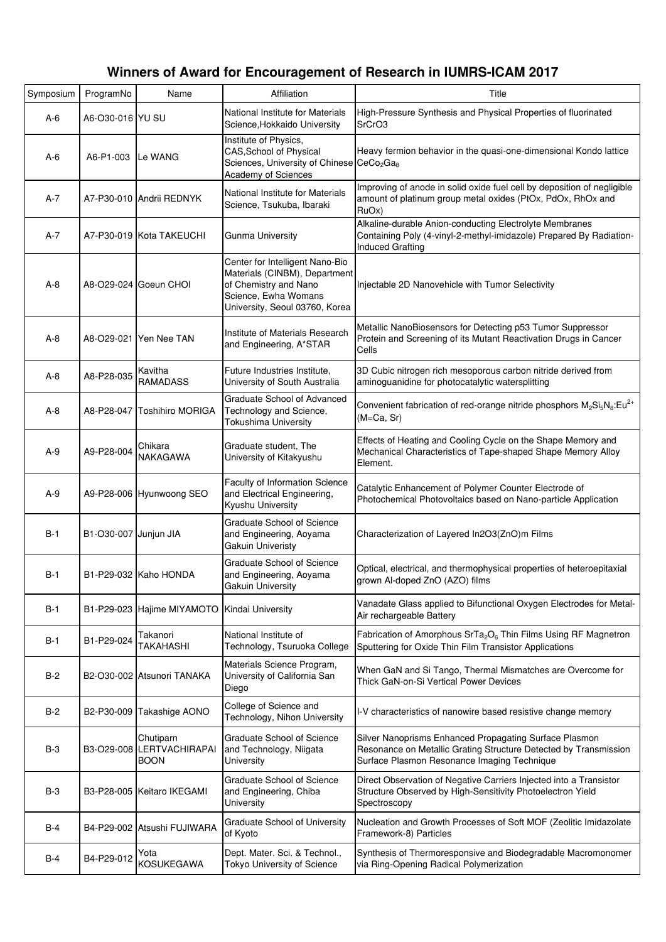| Symposium | ProgramNo             | Name                                                  | Affiliation                                                                                                                                         | Title                                                                                                                                                                     |
|-----------|-----------------------|-------------------------------------------------------|-----------------------------------------------------------------------------------------------------------------------------------------------------|---------------------------------------------------------------------------------------------------------------------------------------------------------------------------|
| $A-6$     | A6-O30-016 YU SU      |                                                       | National Institute for Materials<br>Science, Hokkaido University                                                                                    | High-Pressure Synthesis and Physical Properties of fluorinated<br>SrCrO3                                                                                                  |
| $A-6$     | A6-P1-003             | Le WANG                                               | Institute of Physics,<br><b>CAS, School of Physical</b><br>Sciences, University of Chinese CeCo <sub>2</sub> Ga <sub>8</sub><br>Academy of Sciences | Heavy fermion behavior in the quasi-one-dimensional Kondo lattice                                                                                                         |
| A-7       |                       | A7-P30-010 Andrii REDNYK                              | National Institute for Materials<br>Science, Tsukuba, Ibaraki                                                                                       | Improving of anode in solid oxide fuel cell by deposition of negligible<br>amount of platinum group metal oxides (PtOx, PdOx, RhOx and<br>RuOx)                           |
| A-7       |                       | A7-P30-019 Kota TAKEUCHI                              | <b>Gunma University</b>                                                                                                                             | Alkaline-durable Anion-conducting Electrolyte Membranes<br>Containing Poly (4-vinyl-2-methyl-imidazole) Prepared By Radiation-<br><b>Induced Grafting</b>                 |
| $A-8$     |                       | A8-O29-024 Goeun CHOI                                 | Center for Intelligent Nano-Bio<br>Materials (CINBM), Department<br>of Chemistry and Nano<br>Science, Ewha Womans<br>University, Seoul 03760, Korea | Injectable 2D Nanovehicle with Tumor Selectivity                                                                                                                          |
| $A-8$     |                       | A8-O29-021 Yen Nee TAN                                | nstitute of Materials Research<br>and Engineering, A*STAR                                                                                           | Metallic NanoBiosensors for Detecting p53 Tumor Suppressor<br>Protein and Screening of its Mutant Reactivation Drugs in Cancer<br>Cells                                   |
| $A-8$     | A8-P28-035            | Kavitha<br><b>RAMADASS</b>                            | Future Industries Institute,<br>University of South Australia                                                                                       | 3D Cubic nitrogen rich mesoporous carbon nitride derived from<br>aminoguanidine for photocatalytic watersplitting                                                         |
| A-8       | A8-P28-047            | Toshihiro MORIGA                                      | Graduate School of Advanced<br>Technology and Science,<br>Tokushima University                                                                      | Convenient fabrication of red-orange nitride phosphors $M_2Si_5N_8:Eu^{2+}$<br>$(M=Ca, Sr)$                                                                               |
| A-9       | A9-P28-004            | Chikara<br>NAKAGAWA                                   | Graduate student, The<br>University of Kitakyushu                                                                                                   | Effects of Heating and Cooling Cycle on the Shape Memory and<br>Mechanical Characteristics of Tape-shaped Shape Memory Alloy<br>Element.                                  |
| $A-9$     |                       | A9-P28-006 Hyunwoong SEO                              | Faculty of Information Science<br>and Electrical Engineering,<br>Kyushu University                                                                  | Catalytic Enhancement of Polymer Counter Electrode of<br>Photochemical Photovoltaics based on Nano-particle Application                                                   |
| B-1       | B1-O30-007 Junjun JIA |                                                       | Graduate School of Science<br>and Engineering, Aoyama<br>Gakuin Univeristy                                                                          | Characterization of Layered In2O3(ZnO)m Films                                                                                                                             |
| $B-1$     |                       | B1-P29-032 Kaho HONDA                                 | <b>Graduate School of Science</b><br>and Engineering, Aoyama<br>Gakuin University                                                                   | Optical, electrical, and thermophysical properties of heteroepitaxial<br>grown Al-doped ZnO (AZO) films                                                                   |
| B-1       |                       | B1-P29-023 Hajime MIYAMOTO                            | Kindai University                                                                                                                                   | Vanadate Glass applied to Bifunctional Oxygen Electrodes for Metal-<br>Air rechargeable Battery                                                                           |
| B-1       | B1-P29-024            | Takanori<br><b>TAKAHASHI</b>                          | National Institute of<br>Technology, Tsuruoka College                                                                                               | Fabrication of Amorphous SrTa <sub>2</sub> O <sub>6</sub> Thin Films Using RF Magnetron<br>Sputtering for Oxide Thin Film Transistor Applications                         |
| $B-2$     |                       | B2-O30-002 Atsunori TANAKA                            | Materials Science Program,<br>University of California San<br>Diego                                                                                 | When GaN and Si Tango, Thermal Mismatches are Overcome for<br>Thick GaN-on-Si Vertical Power Devices                                                                      |
| $B-2$     |                       | B2-P30-009 Takashige AONO                             | College of Science and<br>Technology, Nihon University                                                                                              | I-V characteristics of nanowire based resistive change memory                                                                                                             |
| B-3       |                       | Chutiparn<br>B3-O29-008 LERTVACHIRAPAI<br><b>BOON</b> | <b>Graduate School of Science</b><br>and Technology, Niigata<br>University                                                                          | Silver Nanoprisms Enhanced Propagating Surface Plasmon<br>Resonance on Metallic Grating Structure Detected by Transmission<br>Surface Plasmon Resonance Imaging Technique |
| $B-3$     |                       | B3-P28-005 Keitaro IKEGAMI                            | <b>Graduate School of Science</b><br>and Engineering, Chiba<br>University                                                                           | Direct Observation of Negative Carriers Injected into a Transistor<br>Structure Observed by High-Sensitivity Photoelectron Yield<br>Spectroscopy                          |
| B-4       |                       | B4-P29-002 Atsushi FUJIWARA                           | Graduate School of University<br>of Kyoto                                                                                                           | Nucleation and Growth Processes of Soft MOF (Zeolitic Imidazolate<br>Framework-8) Particles                                                                               |
| B-4       | B4-P29-012            | Yota<br><b>KOSUKEGAWA</b>                             | Dept. Mater. Sci. & Technol.,<br>Tokyo University of Science                                                                                        | Synthesis of Thermoresponsive and Biodegradable Macromonomer<br>via Ring-Opening Radical Polymerization                                                                   |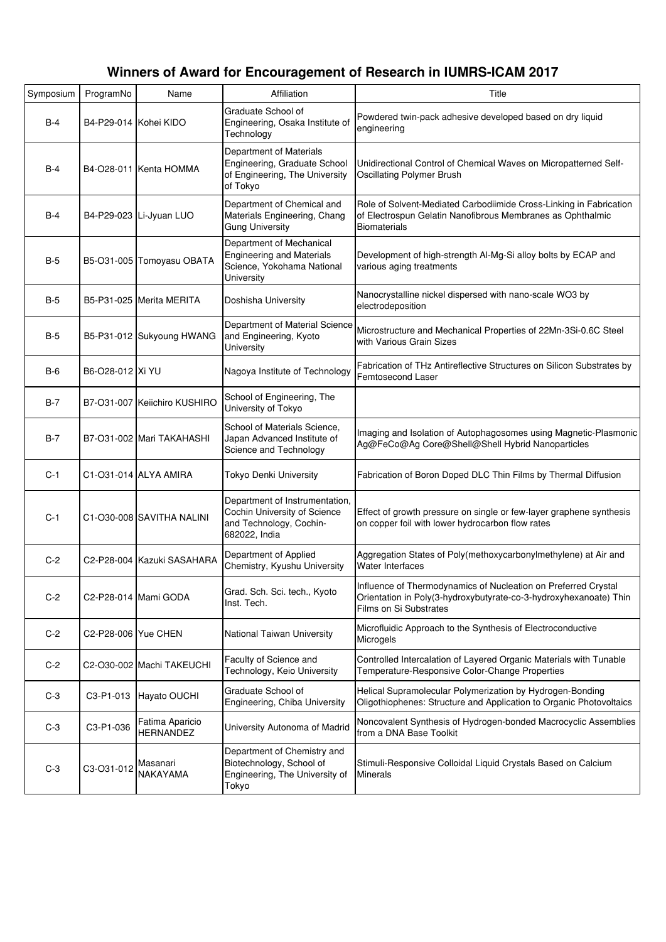| Symposium  | ProgramNo             | Name                                | Affiliation                                                                                                | Title                                                                                                                                                         |
|------------|-----------------------|-------------------------------------|------------------------------------------------------------------------------------------------------------|---------------------------------------------------------------------------------------------------------------------------------------------------------------|
| $B-4$      | B4-P29-014 Kohei KIDO |                                     | Graduate School of<br>Engineering, Osaka Institute of<br>Technology                                        | Powdered twin-pack adhesive developed based on dry liquid<br>engineering                                                                                      |
| $B-4$      |                       | B4-O28-011 Kenta HOMMA              | Department of Materials<br>Engineering, Graduate School<br>of Engineering, The University<br>of Tokyo      | Unidirectional Control of Chemical Waves on Micropatterned Self-<br>Oscillating Polymer Brush                                                                 |
| $B-4$      |                       | B4-P29-023 Li-Jyuan LUO             | Department of Chemical and<br>Materials Engineering, Chang<br><b>Gung University</b>                       | Role of Solvent-Mediated Carbodiimide Cross-Linking in Fabrication<br>of Electrospun Gelatin Nanofibrous Membranes as Ophthalmic<br><b>Biomaterials</b>       |
| $B-5$      |                       | B5-O31-005 Tomoyasu OBATA           | Department of Mechanical<br><b>Engineering and Materials</b><br>Science, Yokohama National<br>University   | Development of high-strength Al-Mg-Si alloy bolts by ECAP and<br>various aging treatments                                                                     |
| $B-5$      |                       | B5-P31-025 Merita MERITA            | Doshisha University                                                                                        | Nanocrystalline nickel dispersed with nano-scale WO3 by<br>electrodeposition                                                                                  |
| B-5        |                       | B5-P31-012 Sukyoung HWANG           | Department of Material Science<br>and Engineering, Kyoto<br>University                                     | Microstructure and Mechanical Properties of 22Mn-3Si-0.6C Steel<br>with Various Grain Sizes                                                                   |
| <b>B-6</b> | B6-O28-012 Xi YU      |                                     | Nagoya Institute of Technology                                                                             | Fabrication of THz Antireflective Structures on Silicon Substrates by<br>Femtosecond Laser                                                                    |
| B-7        |                       | B7-031-007 Keiichiro KUSHIRO        | School of Engineering, The<br>University of Tokyo                                                          |                                                                                                                                                               |
| B-7        |                       | B7-O31-002 Mari TAKAHASHI           | School of Materials Science,<br>Japan Advanced Institute of<br>Science and Technology                      | Imaging and Isolation of Autophagosomes using Magnetic-Plasmonic<br>Ag@FeCo@Ag Core@Shell@Shell Hybrid Nanoparticles                                          |
| $C-1$      |                       | C1-031-014 ALYA AMIRA               | Tokyo Denki University                                                                                     | Fabrication of Boron Doped DLC Thin Films by Thermal Diffusion                                                                                                |
| $C-1$      |                       | C1-O30-008 SAVITHA NALINI           | Department of Instrumentation,<br>Cochin University of Science<br>and Technology, Cochin-<br>682022, India | Effect of growth pressure on single or few-layer graphene synthesis<br>on copper foil with lower hydrocarbon flow rates                                       |
| $C-2$      |                       | C2-P28-004 Kazuki SASAHARA          | Department of Applied<br>Chemistry, Kyushu University                                                      | Aggregation States of Poly(methoxycarbonylmethylene) at Air and<br><b>Water Interfaces</b>                                                                    |
| $C-2$      |                       | C2-P28-014 Mami GODA                | Grad. Sch. Sci. tech., Kyoto<br>Inst. Tech.                                                                | Influence of Thermodynamics of Nucleation on Preferred Crystal<br>Orientation in Poly(3-hydroxybutyrate-co-3-hydroxyhexanoate) Thin<br>Films on Si Substrates |
| $C-2$      | C2-P28-006   Yue CHEN |                                     | National Taiwan University                                                                                 | Microfluidic Approach to the Synthesis of Electroconductive<br>Microgels                                                                                      |
| $C-2$      |                       | C2-O30-002 Machi TAKEUCHI           | Faculty of Science and<br>Technology, Keio University                                                      | Controlled Intercalation of Layered Organic Materials with Tunable<br>Temperature-Responsive Color-Change Properties                                          |
| $C-3$      | C3-P1-013             | Hayato OUCHI                        | Graduate School of<br>Engineering, Chiba University                                                        | Helical Supramolecular Polymerization by Hydrogen-Bonding<br>Oligothiophenes: Structure and Application to Organic Photovoltaics                              |
| $C-3$      | C3-P1-036             | Fatima Aparicio<br><b>HERNANDEZ</b> | University Autonoma of Madrid                                                                              | Noncovalent Synthesis of Hydrogen-bonded Macrocyclic Assemblies<br>from a DNA Base Toolkit                                                                    |
| $C-3$      | C3-O31-012            | Masanari<br><b>NAKAYAMA</b>         | Department of Chemistry and<br>Biotechnology, School of<br>Engineering, The University of<br>Tokyo         | Stimuli-Responsive Colloidal Liquid Crystals Based on Calcium<br><b>Minerals</b>                                                                              |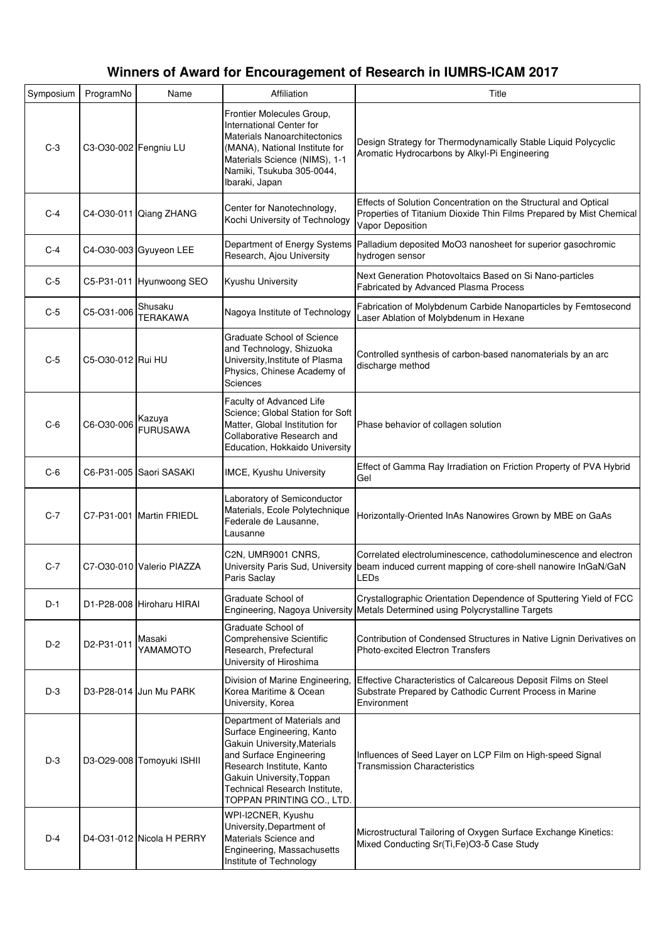| Symposium | ProgramNo             | Name                       | Affiliation                                                                                                                                                                                                                                  | Title                                                                                                                                                      |
|-----------|-----------------------|----------------------------|----------------------------------------------------------------------------------------------------------------------------------------------------------------------------------------------------------------------------------------------|------------------------------------------------------------------------------------------------------------------------------------------------------------|
| $C-3$     | C3-O30-002 Fengniu LU |                            | Frontier Molecules Group,<br><b>International Center for</b><br><b>Materials Nanoarchitectonics</b><br>(MANA), National Institute for<br>Materials Science (NIMS), 1-1<br>Namiki, Tsukuba 305-0044,<br>Ibaraki, Japan                        | Design Strategy for Thermodynamically Stable Liquid Polycyclic<br>Aromatic Hydrocarbons by Alkyl-Pi Engineering                                            |
| $C-4$     |                       | C4-O30-011 Qiang ZHANG     | Center for Nanotechnology,<br>Kochi University of Technology                                                                                                                                                                                 | Effects of Solution Concentration on the Structural and Optical<br>Properties of Titanium Dioxide Thin Films Prepared by Mist Chemical<br>Vapor Deposition |
| $C-4$     |                       | C4-O30-003 Gyuyeon LEE     | Department of Energy Systems<br>Research, Ajou University                                                                                                                                                                                    | Palladium deposited MoO3 nanosheet for superior gasochromic<br>hydrogen sensor                                                                             |
| $C-5$     |                       | C5-P31-011 Hyunwoong SEO   | Kyushu University                                                                                                                                                                                                                            | Next Generation Photovoltaics Based on Si Nano-particles<br>Fabricated by Advanced Plasma Process                                                          |
| $C-5$     | C5-O31-006            | Shusaku<br><b>TERAKAWA</b> | Nagoya Institute of Technology                                                                                                                                                                                                               | Fabrication of Molybdenum Carbide Nanoparticles by Femtosecond<br>Laser Ablation of Molybdenum in Hexane                                                   |
| $C-5$     | C5-O30-012 Rui HU     |                            | <b>Graduate School of Science</b><br>and Technology, Shizuoka<br>University, Institute of Plasma<br>Physics, Chinese Academy of<br>Sciences                                                                                                  | Controlled synthesis of carbon-based nanomaterials by an arc<br>discharge method                                                                           |
| $C-6$     | C6-O30-006            | Kazuya<br><b>FURUSAWA</b>  | Faculty of Advanced Life<br>Science; Global Station for Soft<br>Matter, Global Institution for<br>Collaborative Research and<br>Education, Hokkaido University                                                                               | Phase behavior of collagen solution                                                                                                                        |
| $C-6$     |                       | C6-P31-005 Saori SASAKI    | IMCE, Kyushu University                                                                                                                                                                                                                      | Effect of Gamma Ray Irradiation on Friction Property of PVA Hybrid<br>Gel                                                                                  |
| $C-7$     |                       | C7-P31-001 Martin FRIEDL   | Laboratory of Semiconductor<br>Materials, Ecole Polytechnique<br>Federale de Lausanne,<br>Lausanne                                                                                                                                           | Horizontally-Oriented InAs Nanowires Grown by MBE on GaAs                                                                                                  |
| $C-7$     |                       | C7-O30-010 Valerio PIAZZA  | C2N, UMR9001 CNRS,<br>University Paris Sud, University<br>Paris Saclay                                                                                                                                                                       | Correlated electroluminescence, cathodoluminescence and electron<br>beam induced current mapping of core-shell nanowire InGaN/GaN<br>LEDs                  |
| $D-1$     |                       | D1-P28-008 Hiroharu HIRAI  | Graduate School of<br>Engineering, Nagoya University                                                                                                                                                                                         | Crystallographic Orientation Dependence of Sputtering Yield of FCC<br>Metals Determined using Polycrystalline Targets                                      |
| $D-2$     | D2-P31-011            | Masaki<br>YAMAMOTO         | Graduate School of<br>Comprehensive Scientific<br>Research, Prefectural<br>University of Hiroshima                                                                                                                                           | Contribution of Condensed Structures in Native Lignin Derivatives on<br><b>Photo-excited Electron Transfers</b>                                            |
| $D-3$     |                       | D3-P28-014 Jun Mu PARK     | Division of Marine Engineering<br>Korea Maritime & Ocean<br>University, Korea                                                                                                                                                                | Effective Characteristics of Calcareous Deposit Films on Steel<br>Substrate Prepared by Cathodic Current Process in Marine<br>Environment                  |
| $D-3$     |                       | D3-O29-008 Tomoyuki ISHII  | Department of Materials and<br>Surface Engineering, Kanto<br>Gakuin University, Materials<br>and Surface Engineering<br>Research Institute, Kanto<br>Gakuin University, Toppan<br>Technical Research Institute,<br>TOPPAN PRINTING CO., LTD. | Influences of Seed Layer on LCP Film on High-speed Signal<br><b>Transmission Characteristics</b>                                                           |
| $D-4$     |                       | D4-O31-012 Nicola H PERRY  | WPI-I2CNER, Kyushu<br>University, Department of<br>Materials Science and<br>Engineering, Massachusetts<br>Institute of Technology                                                                                                            | Microstructural Tailoring of Oxygen Surface Exchange Kinetics:<br>Mixed Conducting Sr(Ti, Fe) O3-δ Case Study                                              |